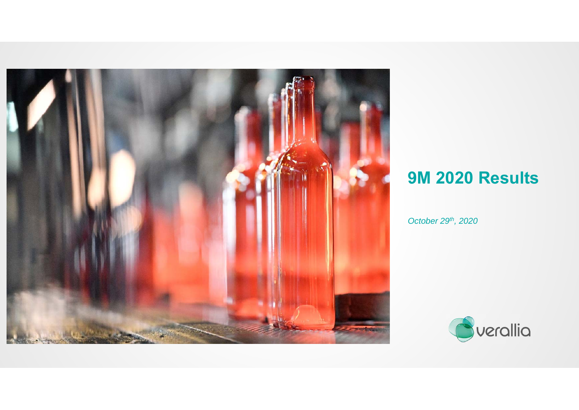

# **9M 2020 Results**

*October 29th, 2020*

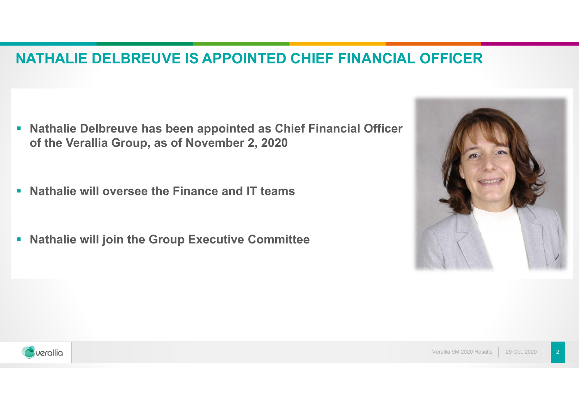### **NATHALIE DELBREUVE IS APPOINTED CHIEF FINANCIAL OFFICER**

- **Rathalie Delbreuve has been appointed as Chief Financial Officer of the Verallia Group, as of November 2, 2020**
- **Nathalie will oversee the Finance and IT teams**
- $\blacksquare$ **Nathalie will join the Group Executive Committee**



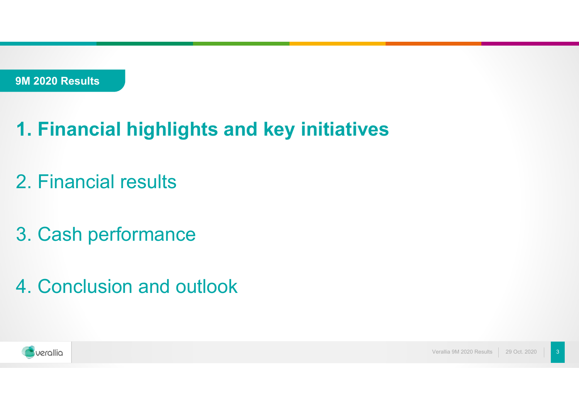# **1. Financial highlights and key initiatives**

- 2. Financial results
- 3. Cash performance
- 4. Conclusion and outlook

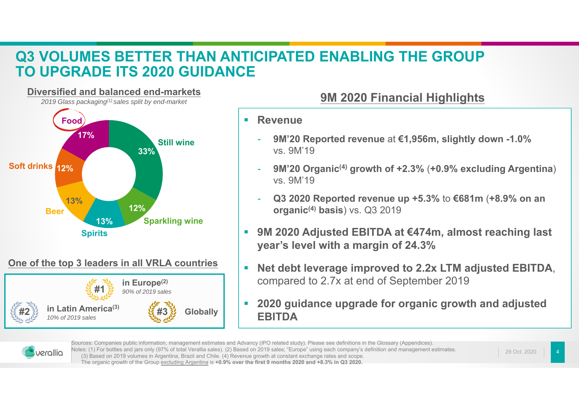### **Q3 VOLUMES BETTER THAN ANTICIPATED ENABLING THE GROUP TO UPGRADE ITS 2020 GUIDANCE**



### **One of the top 3 leaders in all VRLA countries**



- $\blacksquare$  **Revenue**
	- **9M'20 Reported revenue** at **€1,956m, slightly down -1.0%**  vs. 9M'19
	- **9M'20 Organic(4) growth of +2.3%** (**+0.9% excluding Argentina**) vs. 9M'19
	- - **Q3 2020 Reported revenue up +5.3%** to **€681m** (**+8.9% on an organic(4) basis**) vs. Q3 2019
- П **9M 2020 Adjusted EBITDA at €474m, almost reaching last year's level with a margin of 24.3%**
- $\overline{\phantom{a}}$  **Net debt leverage improved to 2.2x LTM adjusted EBITDA**, compared to 2.7x at end of September 2019
- П **2020 guidance upgrade for organic growth and adjusted EBITDA**



Sources: Companies public information, management estimates and Advancy (IPO related study). Please see definitions in the Glossary (Appendices). Notes: (1) For bottles and jars only (97% of total Verallia sales). (2) Based on 2019 sales; "Europe" using each company's definition and management estimates. (3) Based on 2019 volumes in Argentina, Brazil and Chile. (4) Revenue growth at constant exchange rates and scope.

29 Oct. 2020

The organic growth of the Group excluding Argentina is **+0.9% over the first 9 months 2020 and +8.3% in Q3 2020.**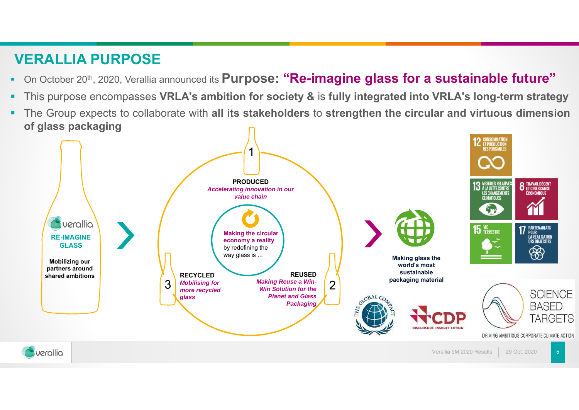### **VERALLIA PURPOSE**

- ٠ On October 20th, 2020, Verallia announced its **Purpose: "Re-imagine glass for <sup>a</sup> sustainable future"**
- This purpose encompasses VRLA's ambition for society & is fully integrated into VRLA's long-term strategy
- ٠ The Group expects to collaborate with **all its stakeholders** to **strengthen the circular and virtuous dimension of glass packaging**

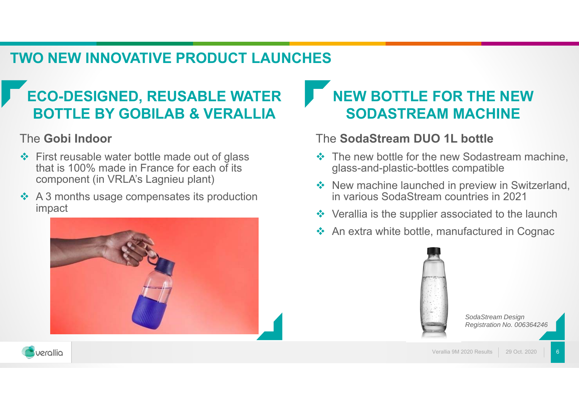### **TWO NEW INNOVATIVE PRODUCT LAUNCHES**

# **ECO-DESIGNED, REUSABLE WATER BOTTLE BY GOBILAB & VERALLIA**

### The **Gobi Indoor**

- $\div$  First reusable water bottle made out of glass that is 100% made in France for each of its component (in VRLA's Lagnieu plant)
- $\cdot$  A 3 months usage compensates its production impact



# **NEW BOTTLE FOR THE NEW SODASTREAM MACHINE**

### The **SodaStream DUO 1L bottle**

- $\cdot$  The new bottle for the new Sodastream machine, glass-and-plastic-bottles compatible
- ❖ New machine launched in preview in Switzerland, in various SodaStream countries in 2021
- $\triangleleft$  Verallia is the supplier associated to the launch
- ❖ An extra white bottle, manufactured in Cognac



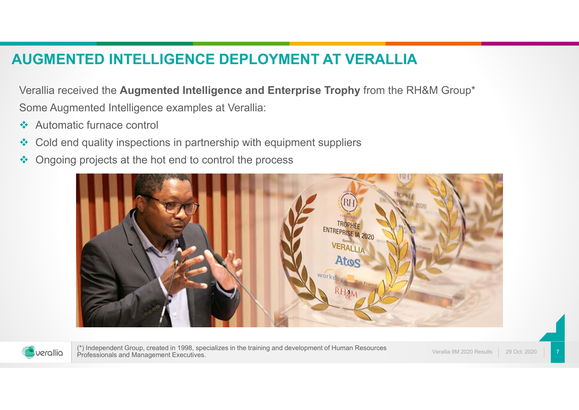### **AUGMENTED INTELLIGENCE DEPLOYMENT AT VERALLIA**

Verallia received the **Augmented Intelligence and Enterprise Trophy** from the RH&M Group\* Some Augmented Intelligence examples at Verallia:

- $\mathcal{L}$ Automatic furnace control
- $\mathcal{L}$ Cold end quality inspections in partnership with equipment suppliers
- $\mathcal{L}_{\mathcal{S}}$ Ongoing projects at the hot end to control the process





(\*) Independent Group, created in 1998, specializes in the training and development of Human Resources Professionals and Management Executives.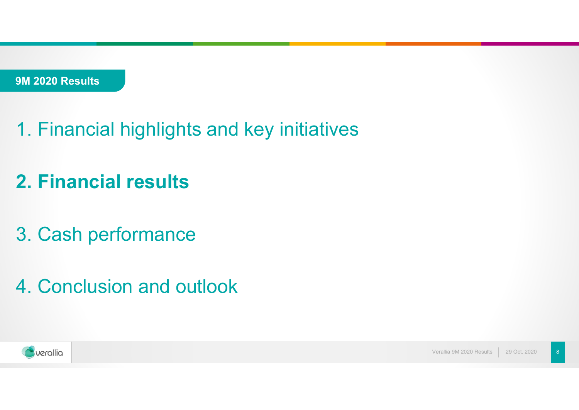- 1. Financial highlights and key initiatives
- **2. Financial results**
- 3. Cash performance
- 4. Conclusion and outlook

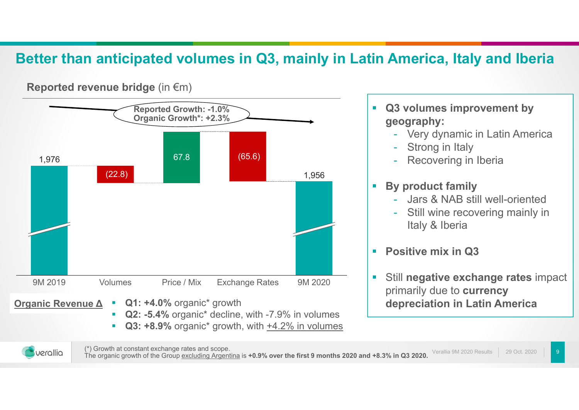### **Better than anticipated volumes in Q3, mainly in Latin America, Italy and Iberia**



**Reported revenue bridge** (in €m)

- $\mathcal{L}_{\mathcal{A}}$  **Q3 volumes improvement by geography:**
	- Very dynamic in Latin America
	- -Strong in Italy
	- Recovering in Iberia

#### $\mathcal{L}_{\mathcal{A}}$ **By product family**

- Jars & NAB still well-oriented
- Still wine recovering mainly in Italy & Iberia
- $\blacksquare$ **Positive mix in Q3**
- Ì. Still **negative exchange rates** impact primarily due to **currency depreciation in Latin America**



Verallia 9M 2020 Results 29 Oct. 2020(\*) Growth at constant exchange rates and scope.<br>The organic growth of the Group excluding Argentina is **+0.9% over the first 9 months 2020 and +8.3% in Q3 2020.**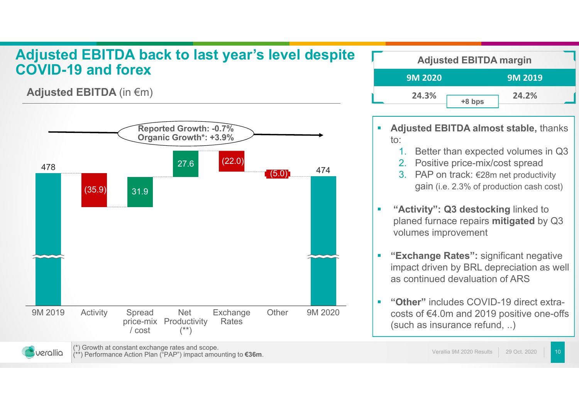#### **Adjusted EBITDA back to last year's level despite COVID-19 and forexAdjusted EBITDA margin**<br> **Adjusted EBITDA margin**<br> **9M 2020**<br> **9M 2020**

**Adjusted EBITDA** (in €m)



| <b>Adjusted EBITDA margin</b> |                |        |                |  |
|-------------------------------|----------------|--------|----------------|--|
|                               | <b>9M 2020</b> |        | <b>9M 2019</b> |  |
|                               | 24.3%          | +8 bps | 24.2%          |  |

- $\mathbf{r}$  **Adjusted EBITDA almost stable,** thanks to:
	- 1.Better than expected volumes in Q3
	- 2.Positive price-mix/cost spread
	- 3. PAP on track: €28m net productivity gain (i.e. 2.3% of production cash cost)
- $\mathcal{L}_{\mathcal{A}}$  **"Activity": Q3 destocking** linked to planed furnace repairs **mitigated** by Q3 volumes improvement
- $\mathbf{r}$  **"Exchange Rates":** significant negative impact driven by BRL depreciation as well as continued devaluation of ARS
- г **"Other"** includes COVID-19 direct extracosts of €4.0m and 2019 positive one-offs (such as insurance refund, ..)

(\*) Growth at constant exchange rates and scope. (\*\*) Performance Action Plan ("PAP") impact amounting to **€36m**. Verallia 9M 2020 Results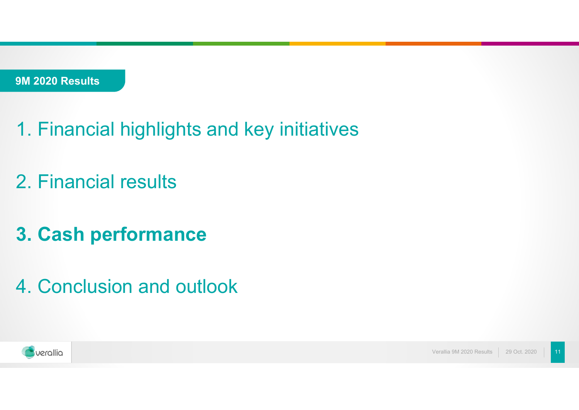- 1. Financial highlights and key initiatives
- 2. Financial results
- **3. Cash performance**
- 4. Conclusion and outlook

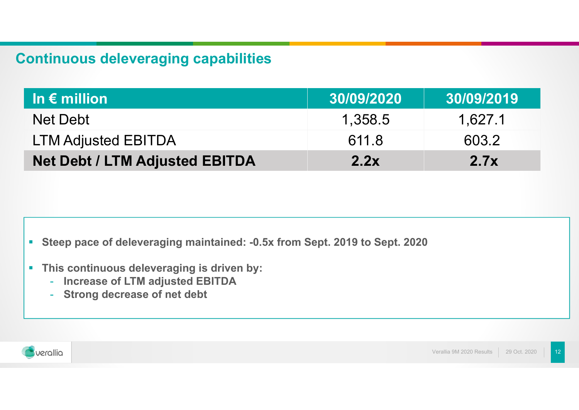## **Continuous deleveraging capabilities**

| In $\epsilon$ million                 | 30/09/2020 | 30/09/2019 |
|---------------------------------------|------------|------------|
| Net Debt                              | 1.358.5    | 1.627.1    |
| <b>LTM Adjusted EBITDA</b>            | 611.8      | 603.2      |
| <b>Net Debt / LTM Adjusted EBITDA</b> | 2.2x       | 2.7x       |

- $\blacksquare$ **Steep pace of deleveraging maintained: -0.5x from Sept. 2019 to Sept. 2020**
- **This continuous deleveraging is driven by:** 
	- -**Increase of LTM adjusted EBITDA**
	- -**Strong decrease of net debt**

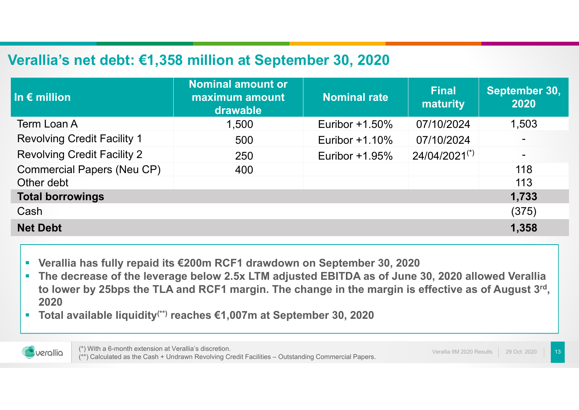### **Verallia's net debt: €1,358 million at September 30, 2020**

| In $\epsilon$ million              | <b>Nominal amount or</b><br>maximum amount<br>drawable | <b>Nominal rate</b> | <b>Final</b><br>maturity | September 30,<br>2020 |
|------------------------------------|--------------------------------------------------------|---------------------|--------------------------|-----------------------|
| <b>Term Loan A</b>                 | 1,500                                                  | Euribor $+1.50\%$   | 07/10/2024               | 1,503                 |
| <b>Revolving Credit Facility 1</b> | 500                                                    | Euribor $+1.10\%$   | 07/10/2024               |                       |
| <b>Revolving Credit Facility 2</b> | 250                                                    | Euribor $+1.95\%$   | $24/04/2021^{(*)}$       | $\blacksquare$        |
| <b>Commercial Papers (Neu CP)</b>  | 400                                                    |                     |                          | 118                   |
| Other debt                         |                                                        |                     |                          | 113                   |
| <b>Total borrowings</b>            |                                                        |                     |                          | 1,733                 |
| Cash                               |                                                        |                     |                          | (375)                 |
| <b>Net Debt</b>                    |                                                        |                     |                          | 1,358                 |

- $\blacksquare$ **Verallia has fully repaid its €200m RCF1 drawdown on September 30, 2020**
- $\mathcal{L}$  **The decrease of the leverage below 2.5x LTM adjusted EBITDA as of June 30, 2020 allowed Verallia to lower by 25bps the TLA and RCF1 margin. The change in the margin is effective as of August 3rd, 2020**
- $\overline{\phantom{a}}$ **Total available liquidity(\*\*) reaches €1,007m at September 30, 2020**



(\*) With a 6-month extension at Verallia's discretion. (\*\*) Calculated as the Cash + Undrawn Revolving Credit Facilities – Outstanding Commercial Papers.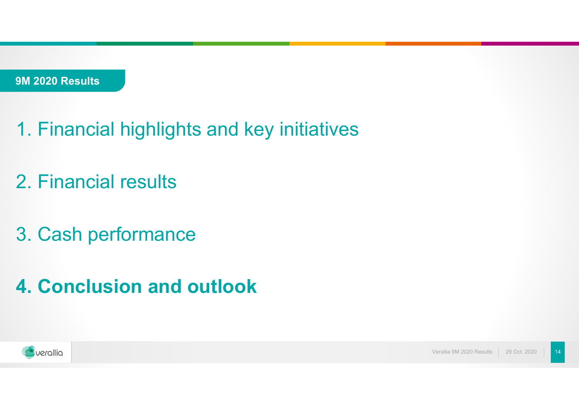- 1. Financial highlights and key initiatives
- 2. Financial results
- 3. Cash performance
- **4. Conclusion and outlook**

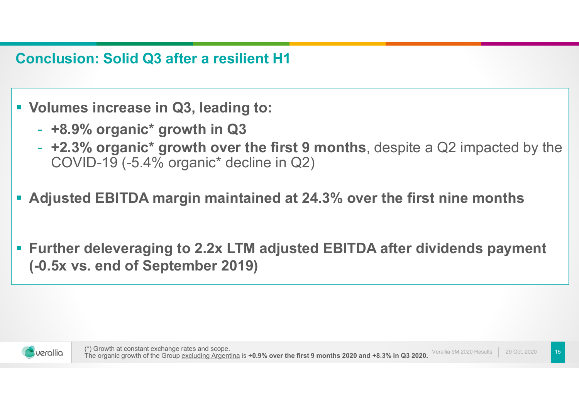**Conclusion: Solid Q3 after a resilient H1**

- **Volumes increase in Q3, leading to:** 
	- -**+8.9% organic\* growth in Q3**
	- - **+2.3% organic\* growth over the first 9 months**, despite a Q2 impacted by the COVID-19 (-5.4% organic\* decline in Q2)
- **Adjusted EBITDA margin maintained at 24.3% over the first nine months**
- $\mathcal{L}_{\mathcal{A}}$  **Further deleveraging to 2.2x LTM adjusted EBITDA after dividends payment (-0.5x vs. end of September 2019)**

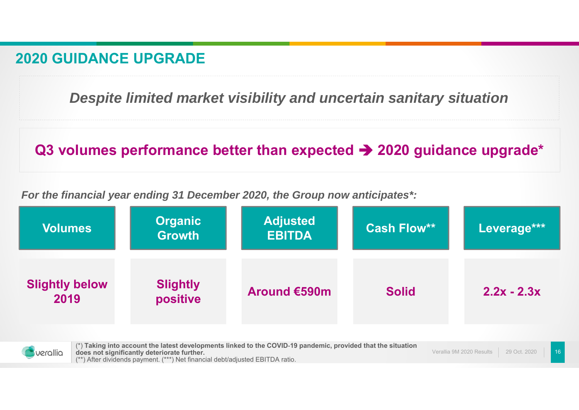### **2020 GUIDANCE UPGRADE**

*Despite limited market visibility and uncertain sanitary situation*

## **Q3 volumes performance better than expected → 2020 guidance upgrade\***

*For the financial year ending 31 December 2020, the Group now anticipates\*:*

| <b>Volumes</b>                | <b>Organic</b><br><b>Growth</b> | <b>Adjusted</b><br><b>EBITDA</b> | <b>Cash Flow**</b> | Leverage***   |
|-------------------------------|---------------------------------|----------------------------------|--------------------|---------------|
| <b>Slightly below</b><br>2019 | <b>Slightly</b><br>positive     | Around €590m                     | <b>Solid</b>       | $2.2x - 2.3x$ |



Verallia 9M 2020 Results 29 Oct. 2020(\*) **Taking into account the latest developments linked to the COVID**-**19 pandemic, provided that the situation does not significantly deteriorate further.** (\*\*) After dividends payment. (\*\*\*) Net financial debt/adjusted EBITDA ratio.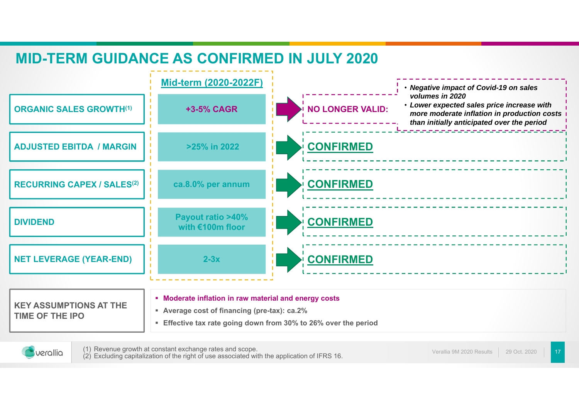## **MID-TERM GUIDANCE AS CONFIRMED IN JULY 2020**



**Effective tax rate going down from 30% to 26% over the period**



(1) Revenue growth at constant exchange rates and scope. (2) Excluding capitalization of the right of use associated with the application of IFRS 16.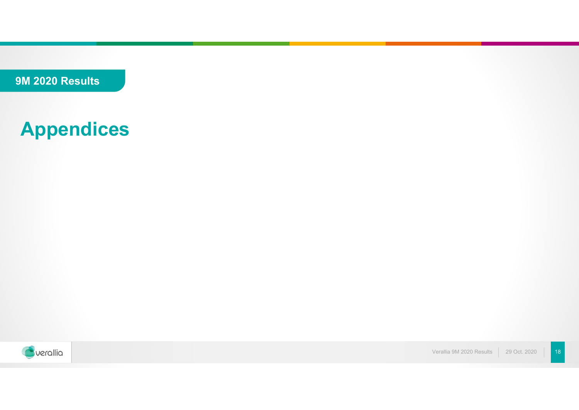**9M 2020 Results**

# **Appendices**



Verallia 9M 2020 Results | 29 Oct. 2020 | 18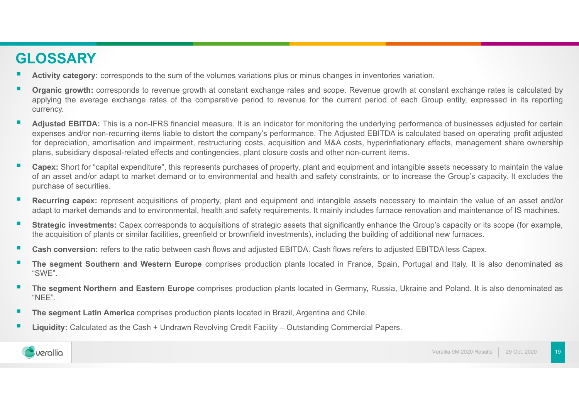### **GLOSSARY**

- **Activity category:** corresponds to the sum of the volumes variations plus or minus changes in inventories variation.
- **Organic growth:** corresponds to revenue growth at constant exchange rates and scope. Revenue growth at constant exchange rates is calculated by applying the average exchange rates of the comparative period to revenue for the current period of each Group entity, expressed in its reporting currency.
- Adjusted EBITDA: This is a non-IFRS financial measure. It is an indicator for monitoring the underlying performance of businesses adjusted for certain expenses and/or non-recurring items liable to distort the company's performance. The Adjusted EBITDA is calculated based on operating profit adjusted for depreciation, amortisation and impairment, restructuring costs, acquisition and M&A costs, hyperinflationary effects, management share ownership plans, subsidiary disposal-related effects and contingencies, plant closure costs and other non-current items.
- **Capex:** Short for "capital expenditure", this represents purchases of property, plant and equipment and intangible assets necessary to maintain the value of an asset and/or adapt to market demand or to environmental and health and safety constraints, or to increase the Group's capacity. It excludes the purchase of securities.
- п **Recurring capex:** represent acquisitions of property, plant and equipment and intangible assets necessary to maintain the value of an asset and/or adapt to market demands and to environmental, health and safety requirements. It mainly includes furnace renovation and maintenance of IS machines.
- . **Strategic investments:** Capex corresponds to acquisitions of strategic assets that significantly enhance the Group's capacity or its scope (for example, the acquisition of plants or similar facilities, greenfield or brownfield investments), including the building of additional new furnaces.
- **Cash conversion:** refers to the ratio between cash flows and adjusted EBITDA. Cash flows refers to adjusted EBITDA less Capex.
- **The segment Southern and Western Europe** comprises production plants located in France, Spain, Portugal and Italy. It is also denominated as "SWE".
- **The segment Northern and Eastern Europe** comprises production plants located in Germany, Russia, Ukraine and Poland. It is also denominated as "NEE".
- **The segment Latin America** comprises production plants located in Brazil, Argentina and Chile.
- г **Liquidity:** Calculated as the Cash <sup>+</sup> Undrawn Revolving Credit Facility – Outstanding Commercial Papers.

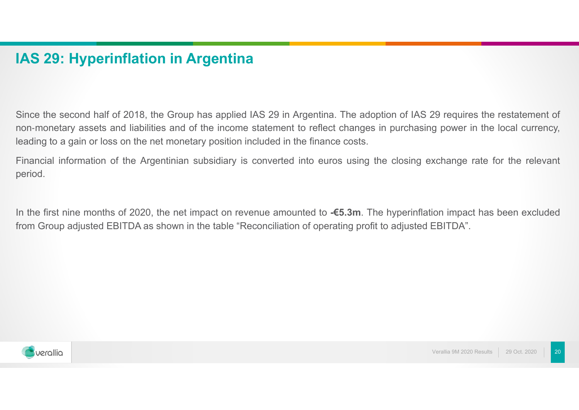### **IAS 29: Hyperinflation in Argentina**

Since the second half of 2018, the Group has applied IAS 29 in Argentina. The adoption of IAS 29 requires the restatement of non-monetary assets and liabilities and of the income statement to reflect changes in purchasing power in the local currency, leading to <sup>a</sup> gain or loss on the net monetary position included in the finance costs.

Financial information of the Argentinian subsidiary is converted into euros using the closing exchange rate for the relevant period.

In the first nine months of 2020, the net impact on revenue amounted to **-€5.3m**. The hyperinflation impact has been excluded from Group adjusted EBITDA as shown in the table "Reconciliation of operating profit to adjusted EBITDA".

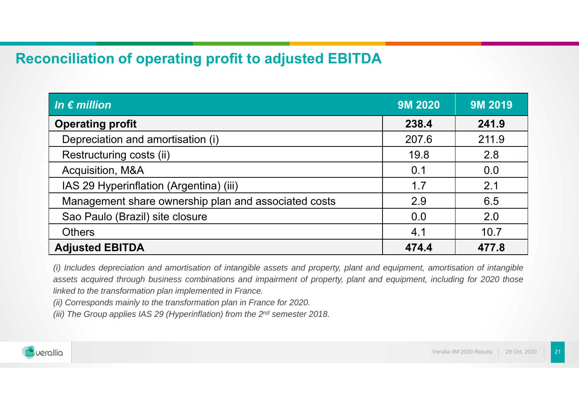### **Reconciliation of operating profit to adjusted EBITDA**

| $\vert$ In $\epsilon$ million                        | <b>9M 2020</b> | <b>9M 2019</b> |
|------------------------------------------------------|----------------|----------------|
| <b>Operating profit</b>                              | 238.4          | 241.9          |
| Depreciation and amortisation (i)                    | 207.6          | 211.9          |
| Restructuring costs (ii)                             | 19.8           | 2.8            |
| Acquisition, M&A                                     | 0.1            | 0.0            |
| IAS 29 Hyperinflation (Argentina) (iii)              | 1.7            | 2.1            |
| Management share ownership plan and associated costs | 2.9            | 6.5            |
| Sao Paulo (Brazil) site closure                      | 0.0            | 2.0            |
| <b>Others</b>                                        | 4.1            | 10.7           |
| <b>Adjusted EBITDA</b>                               | 474.4          | 477.8          |

(i) Includes depreciation and amortisation of intangible assets and property, plant and equipment, amortisation of intangible assets acquired through business combinations and impairment of property, plant and equipment, including for 2020 those *linked to the transformation plan implemented in France.*

*(ii) Corresponds mainly to the transformation plan in France for 2020.*

(iii) The Group applies IAS 29 (Hyperinflation) from the 2<sup>nd</sup> semester 2018.

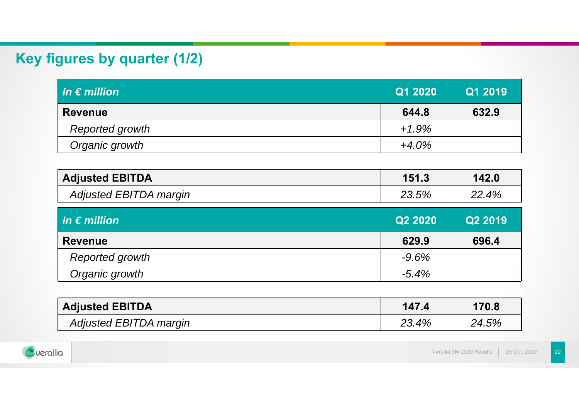# **Key figures by quarter (1/2)**

| $\overline{\mathsf{I}}$ in $\overline{\mathsf{e}}$ million $\overline{\mathsf{I}}$ | Q1 2020  | Q1 2019 |
|------------------------------------------------------------------------------------|----------|---------|
| <b>Revenue</b>                                                                     | 644.8    | 632.9   |
| Reported growth                                                                    | $+1.9%$  |         |
| Organic growth                                                                     | $+4.0\%$ |         |

| <b>Adjusted EBITDA</b> | 151.3 | 142.0 |
|------------------------|-------|-------|
| Adjusted EBITDA margin | 23.5% | 22.4% |

| In $\epsilon$ million  | Q2 2020  | Q2 2019 |
|------------------------|----------|---------|
| <b>Revenue</b>         | 629.9    | 696.4   |
| <b>Reported growth</b> | $-9.6%$  |         |
| Organic growth         | $-5.4\%$ |         |

| <b>Adjusted EBITDA</b> | 147.4 | 170.8 |
|------------------------|-------|-------|
| Adjusted EBITDA margin | 23.4% | 24.5% |

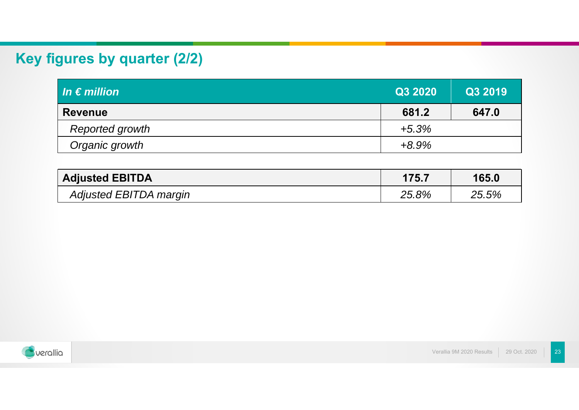# **Key figures by quarter (2/2)**

| In $\epsilon$ million  | Q3 2020  | Q3 2019 |
|------------------------|----------|---------|
| <b>Revenue</b>         | 681.2    | 647.0   |
| <b>Reported growth</b> | $+5.3%$  |         |
| Organic growth         | $+8.9\%$ |         |

| <b>Adjusted EBITDA</b> | 175.7    | 165.0 |
|------------------------|----------|-------|
| Adjusted EBITDA margin | $25.8\%$ | 25.5% |